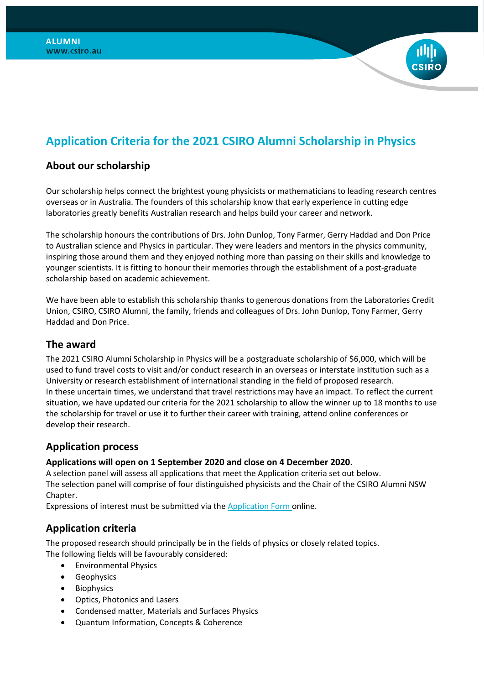# **Application Criteria for the 2021 CSIRO Alumni Scholarship in Physics**

## **About our scholarship**

Our scholarship helps connect the brightest young physicists or mathematicians to leading research centres overseas or in Australia. The founders of this scholarship know that early experience in cutting edge laboratories greatly benefits Australian research and helps build your career and network.

The scholarship honours the contributions of Drs. John Dunlop, Tony Farmer, Gerry Haddad and Don Price to Australian science and Physics in particular. They were leaders and mentors in the physics community, inspiring those around them and they enjoyed nothing more than passing on their skills and knowledge to younger scientists. It is fitting to honour their memories through the establishment of a post-graduate scholarship based on academic achievement.

We have been able to establish this scholarship thanks to generous donations from the Laboratories Credit Union, CSIRO, CSIRO Alumni, the family, friends and colleagues of Drs. John Dunlop, Tony Farmer, Gerry Haddad and Don Price.

### **The award**

The 2021 CSIRO Alumni Scholarship in Physics will be a postgraduate scholarship of \$6,000, which will be used to fund travel costs to visit and/or conduct research in an overseas or interstate institution such as a University or research establishment of international standing in the field of proposed research. In these uncertain times, we understand that travel restrictions may have an impact. To reflect the current situation, we have updated our criteria for the 2021 scholarship to allow the winner up to 18 months to use the scholarship for travel or use it to further their career with training, attend online conferences or develop their research.

### **Application process**

#### **Applications will open on 1 September 2020 and close on 4 December 2020.**

A selection panel will assess all applications that meet the Application criteria set out below. The selection panel will comprise of four distinguished physicists and the Chair of the CSIRO Alumni NSW Chapter.

Expressions of interest must be submitted via the [Application Form](https://www.csiro.au/en/Careers/Studentships/Alumni-Scholarship-in-Physics) online.

### **Application criteria**

The proposed research should principally be in the fields of physics or closely related topics. The following fields will be favourably considered:

- Environmental Physics
- Geophysics
- Biophysics
- Optics, Photonics and Lasers
- Condensed matter, Materials and Surfaces Physics
- Quantum Information, Concepts & Coherence